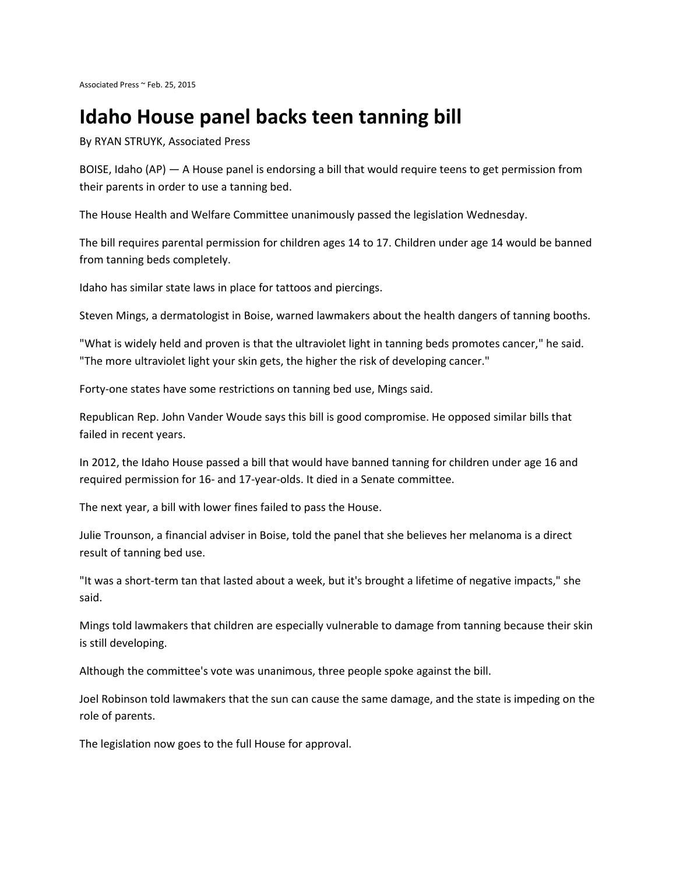## **Idaho House panel backs teen tanning bill**

By RYAN STRUYK, Associated Press

BOISE, Idaho (AP) — A House panel is endorsing a bill that would require teens to get permission from their parents in order to use a tanning bed.

The House Health and Welfare Committee unanimously passed the legislation Wednesday.

The bill requires parental permission for children ages 14 to 17. Children under age 14 would be banned from tanning beds completely.

Idaho has similar state laws in place for tattoos and piercings.

Steven Mings, a dermatologist in Boise, warned lawmakers about the health dangers of tanning booths.

"What is widely held and proven is that the ultraviolet light in tanning beds promotes cancer," he said. "The more ultraviolet light your skin gets, the higher the risk of developing cancer."

Forty-one states have some restrictions on tanning bed use, Mings said.

Republican Rep. John Vander Woude says this bill is good compromise. He opposed similar bills that failed in recent years.

In 2012, the Idaho House passed a bill that would have banned tanning for children under age 16 and required permission for 16- and 17-year-olds. It died in a Senate committee.

The next year, a bill with lower fines failed to pass the House.

Julie Trounson, a financial adviser in Boise, told the panel that she believes her melanoma is a direct result of tanning bed use.

"It was a short-term tan that lasted about a week, but it's brought a lifetime of negative impacts," she said.

Mings told lawmakers that children are especially vulnerable to damage from tanning because their skin is still developing.

Although the committee's vote was unanimous, three people spoke against the bill.

Joel Robinson told lawmakers that the sun can cause the same damage, and the state is impeding on the role of parents.

The legislation now goes to the full House for approval.